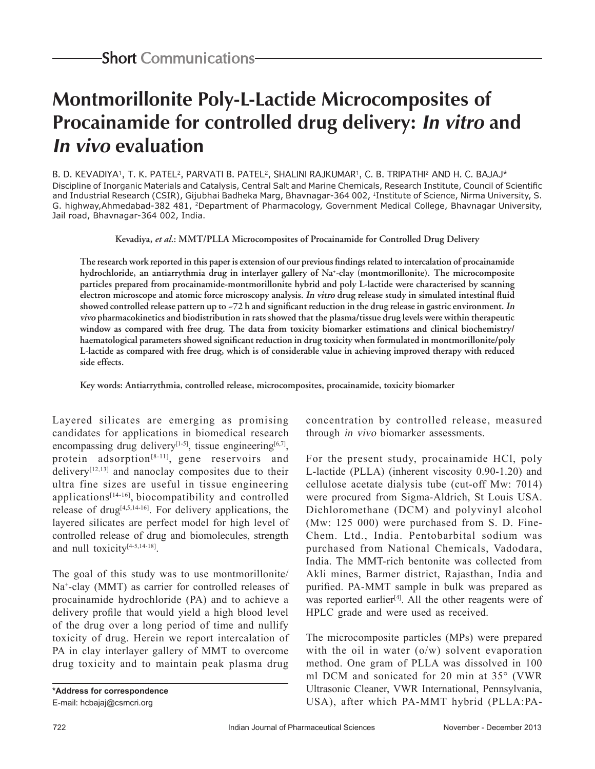# **Montmorillonite Poly-L-Lactide Microcomposites of Procainamide for controlled drug delivery: In vitro and In vivo evaluation**

B. D. KEVADIYA<sup>1</sup>, T. K. PATEL<sup>2</sup>, PARVATI B. PATEL<sup>2</sup>, SHALINI RAJKUMAR<sup>1</sup>, C. B. TRIPATHI<sup>2</sup> AND H. C. BAJAJ\* Discipline of Inorganic Materials and Catalysis, Central Salt and Marine Chemicals, Research Institute, Council of Scientific and Industrial Research (CSIR), Gijubhai Badheka Marg, Bhavnagar-364 002, 1Institute of Science, Nirma University, S. G. highway,Ahmedabad-382 481, 2Department of Pharmacology, Government Medical College, Bhavnagar University, Jail road, Bhavnagar-364 002, India.

**Kevadiya,** *et al***.: MMT/PLLA Microcomposites of Procainamide for Controlled Drug Delivery**

**The research work reported in this paper is extension of our previous findings related to intercalation of procainamide hydrochloride, an antiarrythmia drug in interlayer gallery of Na+ -clay (montmorillonite). The microcomposite particles prepared from procainamide-montmorillonite hybrid and poly L-lactide were characterised by scanning electron microscope and atomic force microscopy analysis. In vitro drug release study in simulated intestinal fluid showed controlled release pattern up to ~72 h and significant reduction in the drug release in gastric environment. In vivo pharmacokinetics and biodistribution in rats showed that the plasma/tissue drug levels were within therapeutic window as compared with free drug. The data from toxicity biomarker estimations and clinical biochemistry/ haematological parameters showed significant reduction in drug toxicity when formulated in montmorillonite/poly L-lactide as compared with free drug, which is of considerable value in achieving improved therapy with reduced side effects.** 

**Key words: Antiarrythmia, controlled release, microcomposites, procainamide, toxicity biomarker**

Layered silicates are emerging as promising candidates for applications in biomedical research encompassing drug delivery<sup>[1-5]</sup>, tissue engineering<sup>[6,7]</sup>, protein adsorption<sup>[8-11]</sup>, gene reservoirs and delivery<sup> $[12,13]$ </sup> and nanoclay composites due to their ultra fine sizes are useful in tissue engineering applications $[14-16]$ , biocompatibility and controlled release of drug<sup> $[4,5,14-16]$ </sup>. For delivery applications, the layered silicates are perfect model for high level of controlled release of drug and biomolecules, strength and null toxicity<sup>[4-5,14-18]</sup>.

The goal of this study was to use montmorillonite/ Na<sup>+</sup>-clay (MMT) as carrier for controlled releases of procainamide hydrochloride (PA) and to achieve a delivery profile that would yield a high blood level of the drug over a long period of time and nullify toxicity of drug. Herein we report intercalation of PA in clay interlayer gallery of MMT to overcome drug toxicity and to maintain peak plasma drug

concentration by controlled release, measured through in vivo biomarker assessments.

For the present study, procainamide HCl, poly L-lactide (PLLA) (inherent viscosity 0.90-1.20) and cellulose acetate dialysis tube (cut-off Mw: 7014) were procured from Sigma-Aldrich, St Louis USA. Dichloromethane (DCM) and polyvinyl alcohol (Mw: 125 000) were purchased from S. D. Fine-Chem. Ltd., India. Pentobarbital sodium was purchased from National Chemicals, Vadodara, India. The MMT-rich bentonite was collected from Akli mines, Barmer district, Rajasthan, India and purified. PA-MMT sample in bulk was prepared as was reported earlier<sup>[4]</sup>. All the other reagents were of HPLC grade and were used as received.

The microcomposite particles (MPs) were prepared with the oil in water (o/w) solvent evaporation method. One gram of PLLA was dissolved in 100 ml DCM and sonicated for 20 min at 35° (VWR Ultrasonic Cleaner, VWR International, Pennsylvania, USA), after which PA-MMT hybrid (PLLA:PA-

**<sup>\*</sup>Address for correspondence** E-mail: hcbajaj@csmcri.org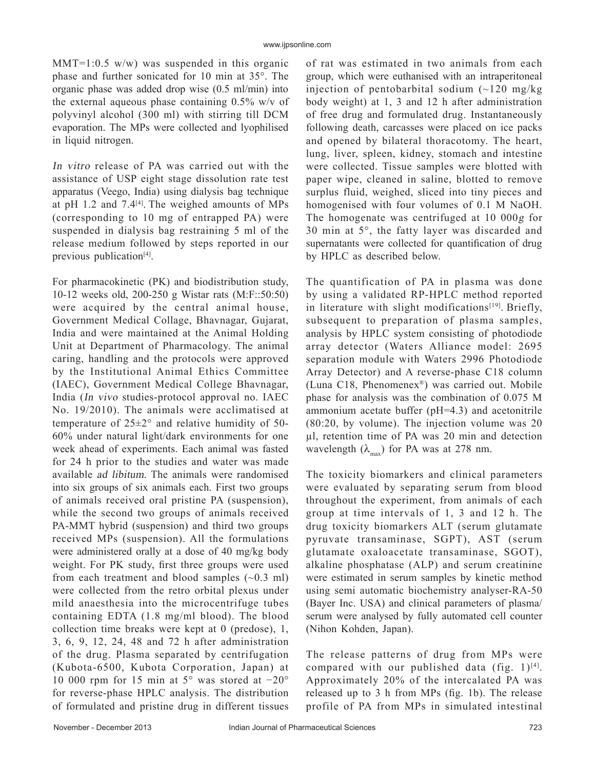$MMT=1:0.5$  w/w) was suspended in this organic phase and further sonicated for 10 min at 35°. The organic phase was added drop wise (0.5 ml/min) into the external aqueous phase containing 0.5% w/v of polyvinyl alcohol (300 ml) with stirring till DCM evaporation. The MPs were collected and lyophilised in liquid nitrogen.

In vitro release of PA was carried out with the assistance of USP eight stage dissolution rate test apparatus (Veego, India) using dialysis bag technique at pH 1.2 and  $7.4^{[4]}$ . The weighed amounts of MPs (corresponding to 10 mg of entrapped PA) were suspended in dialysis bag restraining 5 ml of the release medium followed by steps reported in our previous publication<sup>[4]</sup>.

For pharmacokinetic (PK) and biodistribution study, 10-12 weeks old, 200-250 g Wistar rats (M:F::50:50) were acquired by the central animal house, Government Medical Collage, Bhavnagar, Gujarat, India and were maintained at the Animal Holding Unit at Department of Pharmacology. The animal caring, handling and the protocols were approved by the Institutional Animal Ethics Committee (IAEC), Government Medical College Bhavnagar, India (In vivo studies-protocol approval no. IAEC No. 19/2010). The animals were acclimatised at temperature of 25±2° and relative humidity of 50- 60% under natural light/dark environments for one week ahead of experiments. Each animal was fasted for 24 h prior to the studies and water was made available ad libitum. The animals were randomised into six groups of six animals each. First two groups of animals received oral pristine PA (suspension), while the second two groups of animals received PA-MMT hybrid (suspension) and third two groups received MPs (suspension). All the formulations were administered orally at a dose of 40 mg/kg body weight. For PK study, first three groups were used from each treatment and blood samples  $(\sim 0.3 \text{ ml})$ were collected from the retro orbital plexus under mild anaesthesia into the microcentrifuge tubes containing EDTA (1.8 mg/ml blood). The blood collection time breaks were kept at 0 (predose), 1, 3, 6, 9, 12, 24, 48 and 72 h after administration of the drug. Plasma separated by centrifugation (Kubota-6500, Kubota Corporation, Japan) at 10 000 rpm for 15 min at 5° was stored at −20° for reverse-phase HPLC analysis. The distribution of formulated and pristine drug in different tissues

of rat was estimated in two animals from each group, which were euthanised with an intraperitoneal injection of pentobarbital sodium  $(-120 \text{ mg/kg})$ body weight) at 1, 3 and 12 h after administration of free drug and formulated drug. Instantaneously following death, carcasses were placed on ice packs and opened by bilateral thoracotomy. The heart, lung, liver, spleen, kidney, stomach and intestine were collected. Tissue samples were blotted with paper wipe, cleaned in saline, blotted to remove surplus fluid, weighed, sliced into tiny pieces and homogenised with four volumes of 0.1 M NaOH. The homogenate was centrifuged at 10 000g for 30 min at 5°, the fatty layer was discarded and supernatants were collected for quantification of drug by HPLC as described below.

The quantification of PA in plasma was done by using a validated RP-HPLC method reported in literature with slight modifications<sup>[19]</sup>. Briefly, subsequent to preparation of plasma samples, analysis by HPLC system consisting of photodiode array detector (Waters Alliance model: 2695 separation module with Waters 2996 Photodiode Array Detector) and A reverse-phase C18 column (Luna C18, Phenomenex®) was carried out. Mobile phase for analysis was the combination of 0.075 M ammonium acetate buffer (pH=4.3) and acetonitrile (80:20, by volume). The injection volume was 20 µl, retention time of PA was 20 min and detection wavelength  $(\lambda_{\text{max}})$  for PA was at 278 nm.

The toxicity biomarkers and clinical parameters were evaluated by separating serum from blood throughout the experiment, from animals of each group at time intervals of 1, 3 and 12 h. The drug toxicity biomarkers ALT (serum glutamate pyruvate transaminase, SGPT), AST (serum glutamate oxaloacetate transaminase, SGOT), alkaline phosphatase (ALP) and serum creatinine were estimated in serum samples by kinetic method using semi automatic biochemistry analyser-RA-50 (Bayer Inc. USA) and clinical parameters of plasma/ serum were analysed by fully automated cell counter (Nihon Kohden, Japan).

The release patterns of drug from MPs were compared with our published data (fig.  $1$ )<sup>[4]</sup>. Approximately 20% of the intercalated PA was released up to 3 h from MPs (fig. 1b). The release profile of PA from MPs in simulated intestinal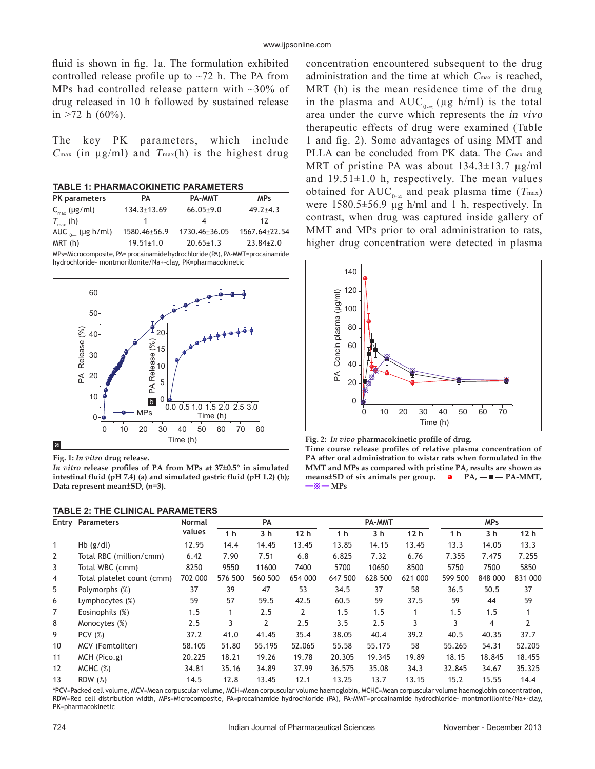fluid is shown in fig. 1a. The formulation exhibited controlled release profile up to  $\sim$ 72 h. The PA from MPs had controlled release pattern with  $\sim$ 30% of drug released in 10 h followed by sustained release in  $>72$  h (60%).

The key PK parameters, which include  $C_{\text{max}}$  (in  $\mu$ g/ml) and  $T_{\text{max}}(h)$  is the highest drug

**TABLE 1: PHARMACOKINETIC PARAMETERS**

| <b>PK</b> parameters                                                         | PA                | PA-MMT          | <b>MPs</b>      |  |  |  |  |  |
|------------------------------------------------------------------------------|-------------------|-----------------|-----------------|--|--|--|--|--|
| $C_{\text{max}}$ (µg/ml)                                                     | $134.3 \pm 13.69$ | $66.05 \pm 9.0$ | $49.2 + 4.3$    |  |  |  |  |  |
| $T_{\text{max}}$ (h)                                                         |                   |                 | 17              |  |  |  |  |  |
| AUC $_{0}$ (µg h/ml)                                                         | 1580.46±56.9      | 1730.46±36.05   | 1567.64±22.54   |  |  |  |  |  |
| MRT (h)                                                                      | $19.51 \pm 1.0$   | $20.65 \pm 1.3$ | $23.84 \pm 2.0$ |  |  |  |  |  |
| MPs=Microcomposite, PA= procainamide hydrochloride (PA), PA-MMT=procainamide |                   |                 |                 |  |  |  |  |  |

hydrochloride- montmorillonite/Na+-clay, PK=pharmacokinetic



**Fig. 1:** *In vitro* **drug release.**

*In vitro* **release profiles of PA from MPs at 37±0.5° in simulated intestinal fluid (pH 7.4) (a) and simulated gastric fluid (pH 1.2) (b); Data represent mean±SD, (***n***=3).**

| <b>TABLE 2: THE CLINICAL PARAMETERS</b> |  |
|-----------------------------------------|--|
|-----------------------------------------|--|

concentration encountered subsequent to the drug administration and the time at which Cmax is reached, MRT (h) is the mean residence time of the drug in the plasma and  $AUC_{0,\infty}(\mu g \; h/ml)$  is the total area under the curve which represents the in vivo therapeutic effects of drug were examined (Table 1 and fig. 2). Some advantages of using MMT and PLLA can be concluded from PK data. The Cmax and MRT of pristine PA was about  $134.3 \pm 13.7$   $\mu$ g/ml and  $19.51\pm1.0$  h, respectively. The mean values obtained for  $AUC_{0-\infty}$  and peak plasma time (T<sub>max</sub>) were  $1580.5 \pm 56.9$   $\mu$ g h/ml and 1 h, respectively. In contrast, when drug was captured inside gallery of MMT and MPs prior to oral administration to rats, higher drug concentration were detected in plasma



**Fig. 2:** *In vivo* **pharmacokinetic profile of drug. Time course release profiles of relative plasma concentration of PA after oral administration to wistar rats when formulated in the MMT and MPs as compared with pristine PA, results are shown as**  means $\pm$ SD of six animals per group.  $-\bullet - PA$ ,  $-\bullet - PA$ -MMT,  $-\otimes -MPs$ 

|                | <b>Entry Parameters</b>    | <b>Normal</b><br>values | <b>PA</b> |         | PA-MMT         |                |         | <b>MPs</b>      |         |         |                 |
|----------------|----------------------------|-------------------------|-----------|---------|----------------|----------------|---------|-----------------|---------|---------|-----------------|
|                |                            |                         | 1 h       | 3 h     | 12h            | 1 <sub>h</sub> | 3 h     | 12 <sub>h</sub> | 1 h     | 3 h     | 12 <sub>h</sub> |
| $\mathbf{1}$   | $Hb$ (g/dl)                | 12.95                   | 14.4      | 14.45   | 13.45          | 13.85          | 14.15   | 13.45           | 13.3    | 14.05   | 13.3            |
| $\overline{2}$ | Total RBC (million/cmm)    | 6.42                    | 7.90      | 7.51    | 6.8            | 6.825          | 7.32    | 6.76            | 7.355   | 7.475   | 7.255           |
| 3              | Total WBC (cmm)            | 8250                    | 9550      | 11600   | 7400           | 5700           | 10650   | 8500            | 5750    | 7500    | 5850            |
| 4              | Total platelet count (cmm) | 702 000                 | 576 500   | 560 500 | 654 000        | 647 500        | 628 500 | 621 000         | 599 500 | 848 000 | 831 000         |
| 5              | Polymorphs (%)             | 37                      | 39        | 47      | 53             | 34.5           | 37      | 58              | 36.5    | 50.5    | 37              |
| 6              | Lymphocytes $(\%)$         | 59                      | 57        | 59.5    | 42.5           | 60.5           | 59      | 37.5            | 59      | 44      | 59              |
| $\overline{7}$ | Eosinophils (%)            | 1.5                     |           | 2.5     | $\overline{2}$ | 1.5            | 1.5     |                 | 1.5     | 1.5     |                 |
| 8              | Monocytes (%)              | 2.5                     | 3         | 2       | 2.5            | 3.5            | 2.5     | 3               | 3       | 4       |                 |
| 9              | PCV $(%)$                  | 37.2                    | 41.0      | 41.45   | 35.4           | 38.05          | 40.4    | 39.2            | 40.5    | 40.35   | 37.7            |
| 10             | MCV (Femtoliter)           | 58.105                  | 51.80     | 55.195  | 52.065         | 55.58          | 55.175  | 58              | 55.265  | 54.31   | 52.205          |
| 11             | MCH (Pico.g)               | 20.225                  | 18.21     | 19.26   | 19.78          | 20.305         | 19.345  | 19.89           | 18.15   | 18.845  | 18.455          |
| 12             | MCHC (%)                   | 34.81                   | 35.16     | 34.89   | 37.99          | 36.575         | 35.08   | 34.3            | 32.845  | 34.67   | 35.325          |
| 13             | <b>RDW</b> (%)             | 14.5                    | 12.8      | 13.45   | 12.1           | 13.25          | 13.7    | 13.15           | 15.2    | 15.55   | 14.4            |

\*PCV=Packed cell volume, MCV=Mean corpuscular volume, MCH=Mean corpuscular volume haemoglobin, MCHC=Mean corpuscular volume haemoglobin concentration, RDW=Red cell distribution width, MPs=Microcomposite, PA=procainamide hydrochloride (PA), PA-MMT=procainamide hydrochloride- montmorillonite/Na+-clay, PK=pharmacokinetic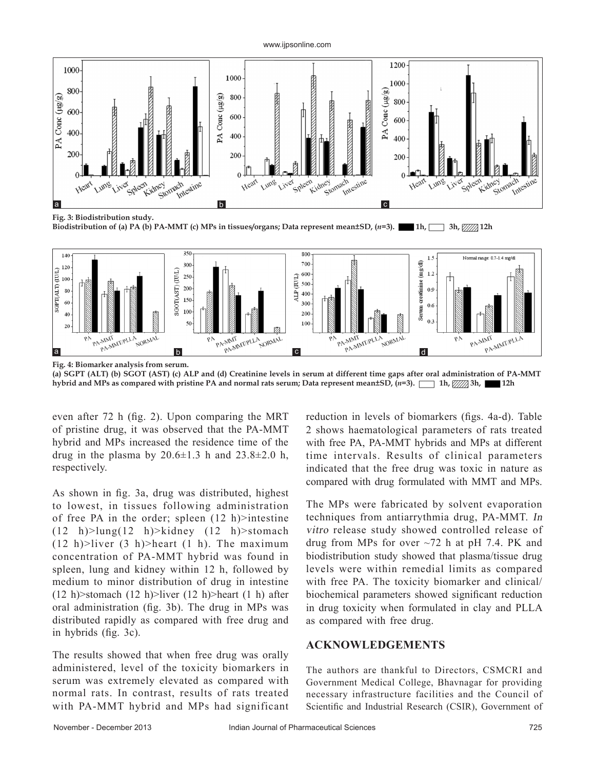#### www.ijpsonline.com





**(a) SGPT (ALT) (b) SGOT (AST) (c) ALP and (d) Creatinine levels in serum at different time gaps after oral administration of PA-MMT hybrid and MPs as compared with pristine PA and normal rats serum; Data represent mean±SD, (***n***=3). 1h,**  $\frac{1}{2}$ **Ah, 12h** 

even after 72 h (fig. 2). Upon comparing the MRT of pristine drug, it was observed that the PA-MMT hybrid and MPs increased the residence time of the drug in the plasma by  $20.6\pm1.3$  h and  $23.8\pm2.0$  h, respectively.

As shown in fig. 3a, drug was distributed, highest to lowest, in tissues following administration of free PA in the order; spleen  $(12 h)$ >intestine (12 h)>lung(12 h)>kidney (12 h)>stomach  $(12 h)$ >liver  $(3 h)$ >heart  $(1 h)$ . The maximum concentration of PA-MMT hybrid was found in spleen, lung and kidney within 12 h, followed by medium to minor distribution of drug in intestine (12 h) > stomach (12 h) > liver (12 h) > heart (1 h) after oral administration (fig. 3b). The drug in MPs was distributed rapidly as compared with free drug and in hybrids (fig. 3c).

The results showed that when free drug was orally administered, level of the toxicity biomarkers in serum was extremely elevated as compared with normal rats. In contrast, results of rats treated with PA-MMT hybrid and MPs had significant

reduction in levels of biomarkers (figs. 4a-d). Table 2 shows haematological parameters of rats treated with free PA, PA-MMT hybrids and MPs at different time intervals. Results of clinical parameters indicated that the free drug was toxic in nature as compared with drug formulated with MMT and MPs.

The MPs were fabricated by solvent evaporation techniques from antiarrythmia drug, PA-MMT. In vitro release study showed controlled release of drug from MPs for over ~72 h at pH 7.4. PK and biodistribution study showed that plasma/tissue drug levels were within remedial limits as compared with free PA. The toxicity biomarker and clinical/ biochemical parameters showed significant reduction in drug toxicity when formulated in clay and PLLA as compared with free drug.

### **ACKNOWLEDGEMENTS**

The authors are thankful to Directors, CSMCRI and Government Medical College, Bhavnagar for providing necessary infrastructure facilities and the Council of Scientific and Industrial Research (CSIR), Government of